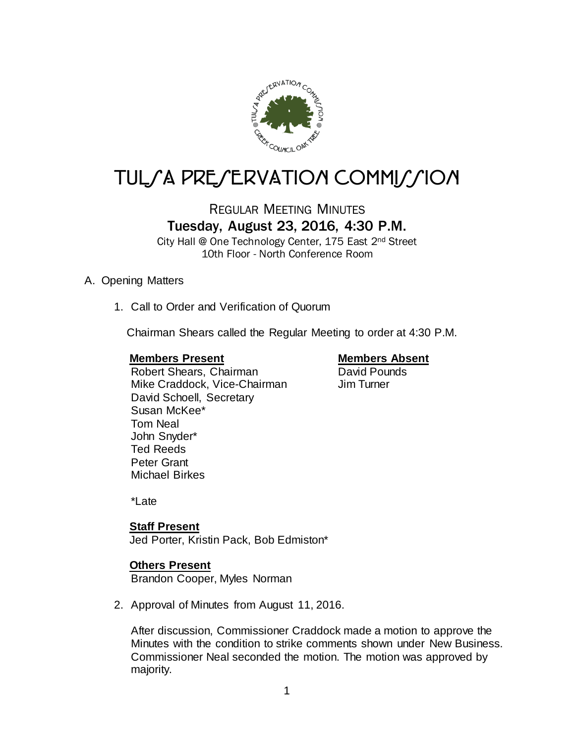

# TULSA PRESERVATION COMMISSION

## REGULAR MEETING MINUTES Tuesday, August 23, 2016, 4:30 P.M.

City Hall @ One Technology Center, 175 East 2nd Street 10th Floor - North Conference Room

### A. Opening Matters

1. Call to Order and Verification of Quorum

Chairman Shears called the Regular Meeting to order at 4:30 P.M.

### **Members Present Members Absent**

Susan McKee\* Tom Neal John Snyder\*

Robert Shears, Chairman **David Pounds**<br>
Mike Craddock, Vice-Chairman Jim Turner Mike Craddock, Vice-Chairman David Schoell, Secretary

Ted Reeds Peter Grant Michael Birkes

\*Late

### **Staff Present**

Jed Porter, Kristin Pack, Bob Edmiston\*

### **Others Present**

Brandon Cooper, Myles Norman

2. Approval of Minutes from August 11, 2016.

After discussion, Commissioner Craddock made a motion to approve the Minutes with the condition to strike comments shown under New Business. Commissioner Neal seconded the motion. The motion was approved by majority.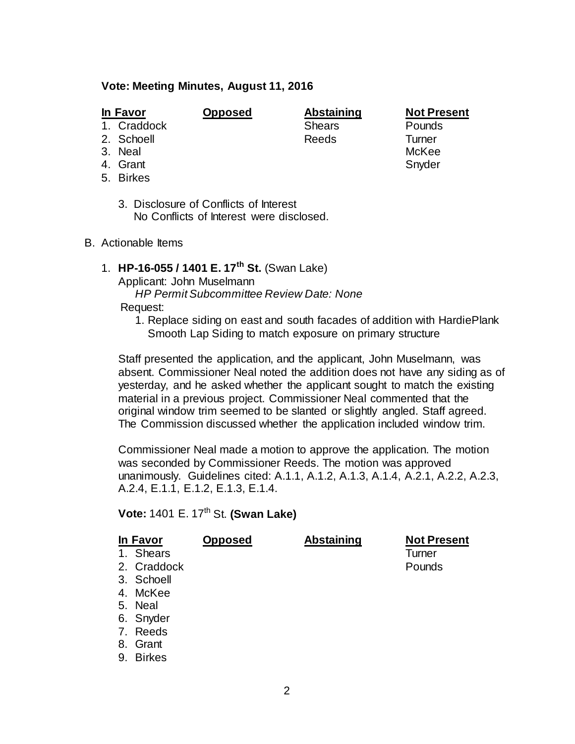### **Vote: Meeting Minutes, August 11, 2016**

- 
- 1. Craddock
- 2. Schoell **Reeds** Turner
- 3. Neal McKee
- 4. Grant Snyder Snyder
- 5. Birkes
	- 3. Disclosure of Conflicts of Interest No Conflicts of Interest were disclosed.
- B. Actionable Items
	- 1. **HP-16-055 / 1401 E. 17th St.** (Swan Lake)

Applicant: John Muselmann

*HP Permit Subcommittee Review Date: None*

Request:

1. Replace siding on east and south facades of addition with HardiePlank Smooth Lap Siding to match exposure on primary structure

Staff presented the application, and the applicant, John Muselmann, was absent. Commissioner Neal noted the addition does not have any siding as of yesterday, and he asked whether the applicant sought to match the existing material in a previous project. Commissioner Neal commented that the original window trim seemed to be slanted or slightly angled. Staff agreed. The Commission discussed whether the application included window trim.

Commissioner Neal made a motion to approve the application. The motion was seconded by Commissioner Reeds. The motion was approved unanimously. Guidelines cited: A.1.1, A.1.2, A.1.3, A.1.4, A.2.1, A.2.2, A.2.3, A.2.4, E.1.1, E.1.2, E.1.3, E.1.4.

**Vote:** 1401 E. 17th St. **(Swan Lake)**

| In Favor |             | <b>Opposed</b> | <b>Abstaining</b> | <b>Not Present</b> |
|----------|-------------|----------------|-------------------|--------------------|
|          | 1. Shears   |                |                   | Turner             |
|          | 2. Craddock |                |                   | Pounds             |
|          | 3. Schoell  |                |                   |                    |
|          | 4. McKee    |                |                   |                    |
|          | 5. Neal     |                |                   |                    |
|          | 6. Snyder   |                |                   |                    |
|          | 7. Reeds    |                |                   |                    |
|          | 8. Grant    |                |                   |                    |

9. Birkes

**In Favor Opposed Abstaining Not Present**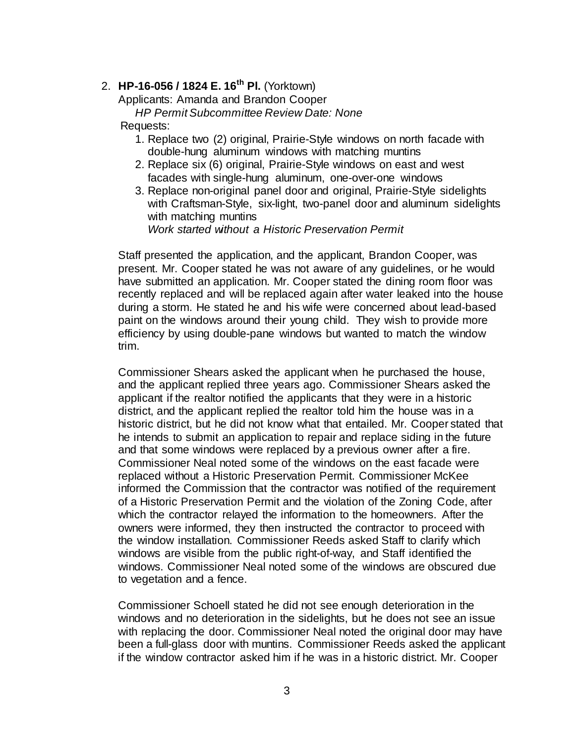### 2. **HP-16-056 / 1824 E. 16th Pl.** (Yorktown)

Applicants: Amanda and Brandon Cooper

*HP Permit Subcommittee Review Date: None*

Requests:

- 1. Replace two (2) original, Prairie-Style windows on north facade with double-hung aluminum windows with matching muntins
- 2. Replace six (6) original, Prairie-Style windows on east and west facades with single-hung aluminum, one-over-one windows
- 3. Replace non-original panel door and original, Prairie-Style sidelights with Craftsman-Style, six-light, two-panel door and aluminum sidelights with matching muntins *Work started without a Historic Preservation Permit*

Staff presented the application, and the applicant, Brandon Cooper, was present. Mr. Cooper stated he was not aware of any guidelines, or he would have submitted an application. Mr. Cooper stated the dining room floor was recently replaced and will be replaced again after water leaked into the house during a storm. He stated he and his wife were concerned about lead-based paint on the windows around their young child. They wish to provide more efficiency by using double-pane windows but wanted to match the window trim.

Commissioner Shears asked the applicant when he purchased the house, and the applicant replied three years ago. Commissioner Shears asked the applicant if the realtor notified the applicants that they were in a historic district, and the applicant replied the realtor told him the house was in a historic district, but he did not know what that entailed. Mr. Cooper stated that he intends to submit an application to repair and replace siding in the future and that some windows were replaced by a previous owner after a fire. Commissioner Neal noted some of the windows on the east facade were replaced without a Historic Preservation Permit. Commissioner McKee informed the Commission that the contractor was notified of the requirement of a Historic Preservation Permit and the violation of the Zoning Code, after which the contractor relayed the information to the homeowners. After the owners were informed, they then instructed the contractor to proceed with the window installation. Commissioner Reeds asked Staff to clarify which windows are visible from the public right-of-way, and Staff identified the windows. Commissioner Neal noted some of the windows are obscured due to vegetation and a fence.

Commissioner Schoell stated he did not see enough deterioration in the windows and no deterioration in the sidelights, but he does not see an issue with replacing the door. Commissioner Neal noted the original door may have been a full-glass door with muntins. Commissioner Reeds asked the applicant if the window contractor asked him if he was in a historic district. Mr. Cooper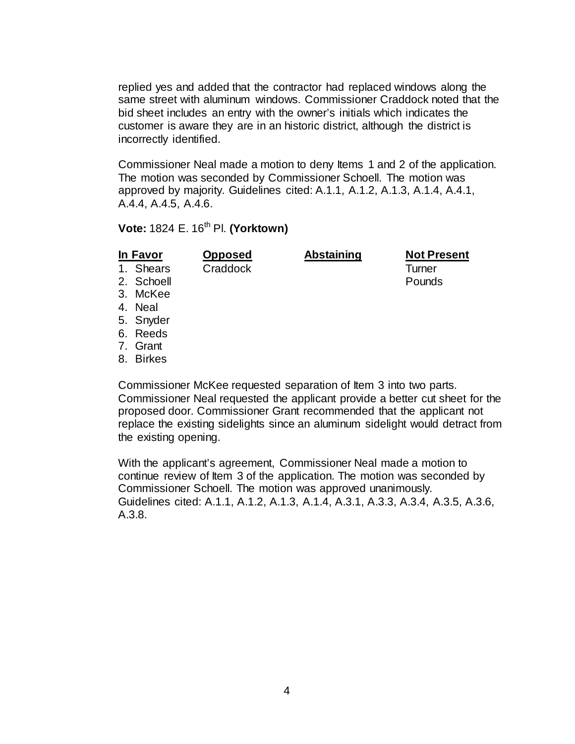replied yes and added that the contractor had replaced windows along the same street with aluminum windows. Commissioner Craddock noted that the bid sheet includes an entry with the owner's initials which indicates the customer is aware they are in an historic district, although the district is incorrectly identified.

Commissioner Neal made a motion to deny Items 1 and 2 of the application. The motion was seconded by Commissioner Schoell. The motion was approved by majority. Guidelines cited: A.1.1, A.1.2, A.1.3, A.1.4, A.4.1, A.4.4, A.4.5, A.4.6.

### **Vote: 1824 E. 16<sup>th</sup> Pl. <b>(Yorktown)**

**In Favor Opposed Abstaining Not Present** 1. Shears Craddock Turner

- 2. Schoell **Pounds**
- 3. McKee
- 4. Neal
- 5. Snyder
- 6. Reeds
- 7. Grant
- 8. Birkes

Commissioner McKee requested separation of Item 3 into two parts. Commissioner Neal requested the applicant provide a better cut sheet for the proposed door. Commissioner Grant recommended that the applicant not replace the existing sidelights since an aluminum sidelight would detract from the existing opening.

With the applicant's agreement, Commissioner Neal made a motion to continue review of Item 3 of the application. The motion was seconded by Commissioner Schoell. The motion was approved unanimously. Guidelines cited: A.1.1, A.1.2, A.1.3, A.1.4, A.3.1, A.3.3, A.3.4, A.3.5, A.3.6, A.3.8.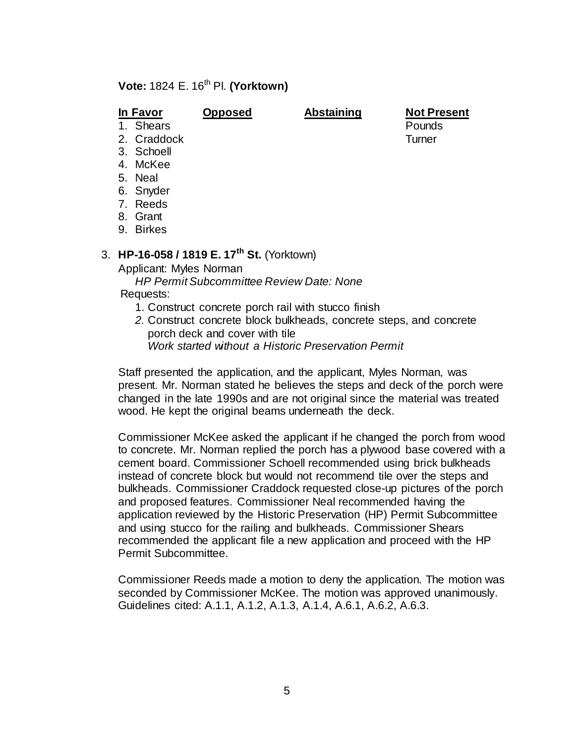### **Vote: 1824 E. 16<sup>th</sup> Pl. (Yorktown)**

**In Favor Opposed Abstaining Not Present**

1. Shears

- 2. Craddock Turner
- 3. Schoell
- 4. McKee
- 5. Neal
- 6. Snyder
- 7. Reeds
- 8. Grant
- 9. Birkes

## 3. **HP-16-058 / 1819 E. 17th St.** (Yorktown)

Applicant: Myles Norman

- *HP Permit Subcommittee Review Date: None* Requests:
	- 1. Construct concrete porch rail with stucco finish
	- *2.* Construct concrete block bulkheads, concrete steps, and concrete porch deck and cover with tile
		- *Work started without a Historic Preservation Permit*

Staff presented the application, and the applicant, Myles Norman, was present. Mr. Norman stated he believes the steps and deck of the porch were changed in the late 1990s and are not original since the material was treated wood. He kept the original beams underneath the deck.

Commissioner McKee asked the applicant if he changed the porch from wood to concrete. Mr. Norman replied the porch has a plywood base covered with a cement board. Commissioner Schoell recommended using brick bulkheads instead of concrete block but would not recommend tile over the steps and bulkheads. Commissioner Craddock requested close-up pictures of the porch and proposed features. Commissioner Neal recommended having the application reviewed by the Historic Preservation (HP) Permit Subcommittee and using stucco for the railing and bulkheads. Commissioner Shears recommended the applicant file a new application and proceed with the HP Permit Subcommittee.

Commissioner Reeds made a motion to deny the application. The motion was seconded by Commissioner McKee. The motion was approved unanimously. Guidelines cited: A.1.1, A.1.2, A.1.3, A.1.4, A.6.1, A.6.2, A.6.3.